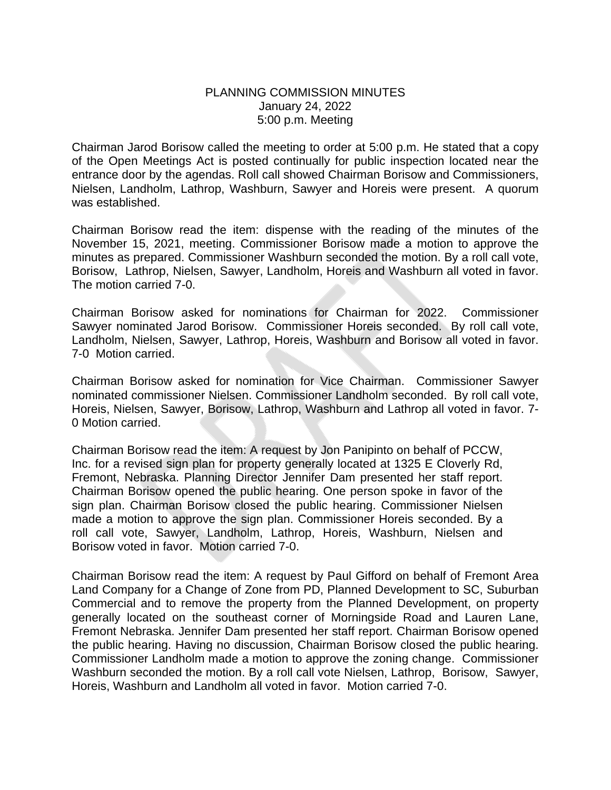## PLANNING COMMISSION MINUTES January 24, 2022 5:00 p.m. Meeting

Chairman Jarod Borisow called the meeting to order at 5:00 p.m. He stated that a copy of the Open Meetings Act is posted continually for public inspection located near the entrance door by the agendas. Roll call showed Chairman Borisow and Commissioners, Nielsen, Landholm, Lathrop, Washburn, Sawyer and Horeis were present. A quorum was established.

Chairman Borisow read the item: dispense with the reading of the minutes of the November 15, 2021, meeting. Commissioner Borisow made a motion to approve the minutes as prepared. Commissioner Washburn seconded the motion. By a roll call vote, Borisow, Lathrop, Nielsen, Sawyer, Landholm, Horeis and Washburn all voted in favor. The motion carried 7-0.

Chairman Borisow asked for nominations for Chairman for 2022. Commissioner Sawyer nominated Jarod Borisow. Commissioner Horeis seconded. By roll call vote, Landholm, Nielsen, Sawyer, Lathrop, Horeis, Washburn and Borisow all voted in favor. 7-0 Motion carried.

Chairman Borisow asked for nomination for Vice Chairman. Commissioner Sawyer nominated commissioner Nielsen. Commissioner Landholm seconded. By roll call vote, Horeis, Nielsen, Sawyer, Borisow, Lathrop, Washburn and Lathrop all voted in favor. 7- 0 Motion carried.

Chairman Borisow read the item: A request by Jon Panipinto on behalf of PCCW, Inc. for a revised sign plan for property generally located at 1325 E Cloverly Rd, Fremont, Nebraska. Planning Director Jennifer Dam presented her staff report. Chairman Borisow opened the public hearing. One person spoke in favor of the sign plan. Chairman Borisow closed the public hearing. Commissioner Nielsen made a motion to approve the sign plan. Commissioner Horeis seconded. By a roll call vote, Sawyer, Landholm, Lathrop, Horeis, Washburn, Nielsen and Borisow voted in favor. Motion carried 7-0.

Chairman Borisow read the item: A request by Paul Gifford on behalf of Fremont Area Land Company for a Change of Zone from PD, Planned Development to SC, Suburban Commercial and to remove the property from the Planned Development, on property generally located on the southeast corner of Morningside Road and Lauren Lane, Fremont Nebraska. Jennifer Dam presented her staff report. Chairman Borisow opened the public hearing. Having no discussion, Chairman Borisow closed the public hearing. Commissioner Landholm made a motion to approve the zoning change. Commissioner Washburn seconded the motion. By a roll call vote Nielsen, Lathrop, Borisow, Sawyer, Horeis, Washburn and Landholm all voted in favor. Motion carried 7-0.